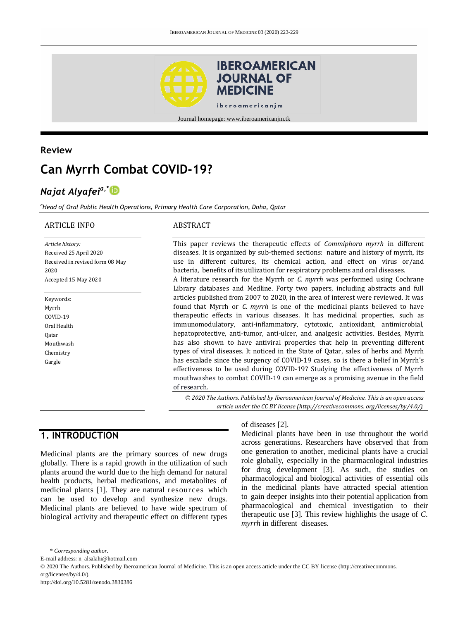

### **Review**

# **Can Myrrh Combat COVID-19?**

## *Najat Alyafeia,\**

*<sup>a</sup>Head of Oral Public Health Operations, Primary Health Care Corporation, Doha, Qatar*

#### ARTICLE INFO

ABSTRACT

*Article history:* Received 25 April 2020 Received in revised form 08 May 2020 Accepted 15 May 2020

Keywords: Myrrh COVID-19 Oral Health Qatar Mouthwash Chemistry Gargle

#### This paper reviews the therapeutic effects of *Commiphora myrrh* in different diseases. It is organized by sub-themed sections: nature and history of myrrh, its use in different cultures, its chemical action, and effect on virus or/and bacteria, benefits of its utilization for respiratory problems and oral diseases. A literature research for the Myrrh or *C. myrrh* was performed using Cochrane Library databases and Medline. Forty two papers, including abstracts and full articles published from 2007 to 2020, in the area of interest were reviewed. It was found that Myrrh or *C. myrrh* is one of the medicinal plants believed to have therapeutic effects in various diseases. It has medicinal properties, such as immunomodulatory, anti-inflammatory, cytotoxic, antioxidant, antimicrobial, hepatoprotective, anti-tumor, anti-ulcer, and analgesic activities. Besides, Myrrh has also shown to have antiviral properties that help in preventing different types of viral diseases. It noticed in the State of Qatar, sales of herbs and Myrrh has escalade since the surgency of COVID-19 cases, so is there a belief in Myrrh's effectiveness to be used during COVID-19? Studying the effectiveness of Myrrh mouthwashes to combat COVID-19 can emerge as a promising avenue in the field of research.

*© 2020 The Authors. Published by Iberoamerican Journal of Medicine. This is an open access article under the CC BY license (http:/[/creativecommons. org/licenses/by/4.0/\)](https://creativecommons.org/licenses/by/4.0/).*

### **1. INTRODUCTION**

Medicinal plants are the primary sources of new drugs globally. There is a rapid growth in the utilization of such plants around the world due to the high demand for natural health products, herbal medications, and metabolites of medicinal plants [1]. They are natural resources which can be used to develop and synthesize new drugs. Medicinal plants are believed to have wide spectrum of biological activity and therapeutic effect on different types

#### of diseases [2].

Medicinal plants have been in use throughout the world across generations. Researchers have observed that from one generation to another, medicinal plants have a crucial role globally, especially in the pharmacological industries for drug development [3]. As such, the studies on pharmacological and biological activities of essential oils in the medicinal plants have attracted special attention to gain deeper insights into their potential application from pharmacological and chemical investigation to their therapeutic use [3]. This review highlights the usage of *C. myrrh* in different diseases.

<sup>\*</sup> *Corresponding author.*

E-mail address: n\_alsalahi@hotmail.com

<sup>© 2020</sup> The Authors. Published by Iberoamerican Journal of Medicine. This is an open access article under the CC BY license (http://creativecommons. org/licenses/by/4.0/).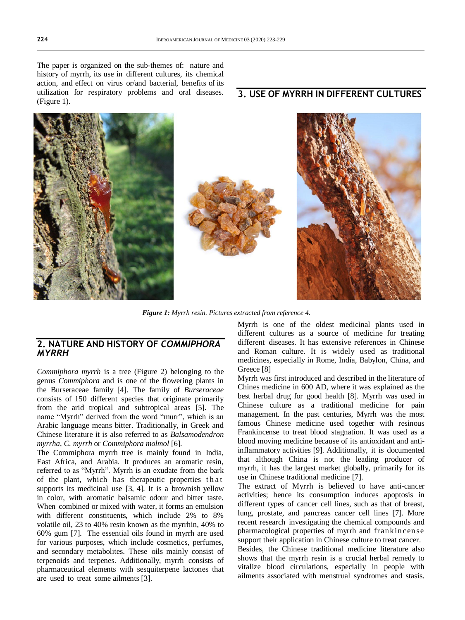The paper is organized on the sub-themes of: nature and history of myrrh, its use in different cultures, its chemical action, and effect on virus or/and bacterial, benefits of its utilization for respiratory problems and oral diseases. (Figure 1).

### **3. USE OF MYRRH IN DIFFERENT CULTURES**



*Figure 1: Myrrh resin. Pictures extracted from reference 4.*

### **2. NATURE AND HISTORY OF** *COMMIPHORA MYRRH*

*Commiphora myrrh* is a tree (Figure 2) belonging to the genus *Commiphora* and is one of the flowering plants in the Burseraceae family [4]. The family of *Burseraceae* consists of 150 different species that originate primarily from the arid tropical and subtropical areas [5]. The name "Myrrh" derived from the word "murr", which is an Arabic language means bitter. Traditionally, in Greek and Chinese literature it is also referred to as *Balsamodendron myrrha*, *C. myrrh* or *Commiphora molmol* [6].

The Commiphora myrrh tree is mainly found in India, East Africa, and Arabia. It produces an aromatic resin, referred to as "Myrrh". Myrrh is an exudate from the bark of the plant, which has therapeutic properties that supports its medicinal use [3, 4]. It is a brownish yellow in color, with aromatic balsamic odour and bitter taste. When combined or mixed with water, it forms an emulsion with different constituents, which include 2% to 8% volatile oil, 23 to 40% resin known as the myrrhin, 40% to 60% gum [7]. The essential oils found in myrrh are used for various purposes, which include cosmetics, perfumes, and secondary metabolites. These oils mainly consist of terpenoids and terpenes. Additionally, myrrh consists of pharmaceutical elements with sesquiterpene lactones that are used to treat some ailments [3].

Myrrh is one of the oldest medicinal plants used in different cultures as a source of medicine for treating different diseases. It has extensive references in Chinese and Roman culture. It is widely used as traditional medicines, especially in Rome, India, Babylon, China, and Greece [8]

Myrrh was first introduced and described in the literature of Chines medicine in 600 AD, where it was explained as the best herbal drug for good health [8]. Myrrh was used in Chinese culture as a traditional medicine for pain management. In the past centuries, Myrrh was the most famous Chinese medicine used together with resinous Frankincense to treat blood stagnation. It was used as a blood moving medicine because of its antioxidant and antiinflammatory activities [9]. Additionally, it is documented that although China is not the leading producer of myrrh, it has the largest market globally, primarily for its use in Chinese traditional medicine [7].

The extract of Myrrh is believed to have anti-cancer activities; hence its consumption induces apoptosis in different types of cancer cell lines, such as that of breast, lung, prostate, and pancreas cancer cell lines [7]. More recent research investigating the chemical compounds and pharmacological properties of myrrh and frankin cen se support their application in Chinese culture to treat cancer.

Besides, the Chinese traditional medicine literature also shows that the myrrh resin is a crucial herbal remedy to vitalize blood circulations, especially in people with ailments associated with menstrual syndromes and stasis.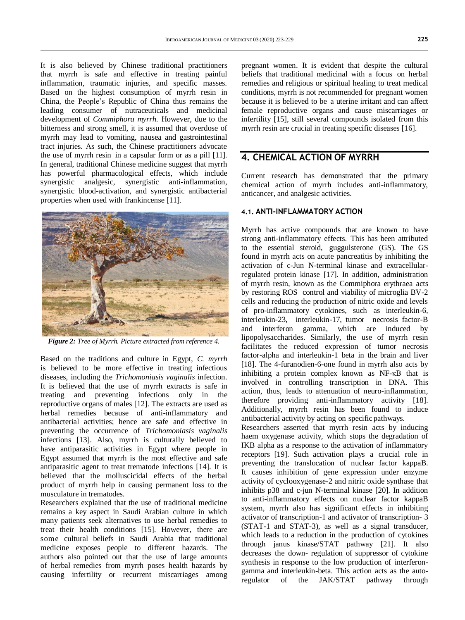It is also believed by Chinese traditional practitioners that myrrh is safe and effective in treating painful inflammation, traumatic injuries, and specific masses. Based on the highest consumption of myrrh resin in China, the People's Republic of China thus remains the leading consumer of nutraceuticals and medicinal development of *Commiphora myrrh.* However, due to the bitterness and strong smell, it is assumed that overdose of myrrh may lead to vomiting, nausea and gastrointestinal tract injuries. As such, the Chinese practitioners advocate the use of myrrh resin in a capsular form or as a pill [11]. In general, traditional Chinese medicine suggest that myrrh has powerful pharmacological effects, which include synergistic analgesic, synergistic anti-inflammation, synergistic blood-activation, and synergistic antibacterial properties when used with frankincense [11].



*Figure 2: Tree of Myrrh. Picture extracted from reference 4.*

Based on the traditions and culture in Egypt, *C. myrrh*  is believed to be more effective in treating infectious diseases, including the *Trichomoniasis vaginalis* infection. It is believed that the use of myrrh extracts is safe in treating and preventing infections only in the reproductive organs of males [12]. The extracts are used as herbal remedies because of anti-inflammatory and antibacterial activities; hence are safe and effective in preventing the occurrence of *Trichomoniasis vaginalis* infections [13]. Also, myrrh is culturally believed to have antiparasitic activities in Egypt where people in Egypt assumed that myrrh is the most effective and safe antiparasitic agent to treat trematode infections [14]. It is believed that the molluscicidal effects of the herbal product of myrrh help in causing permanent loss to the musculature in trematodes.

Researchers explained that the use of traditional medicine remains a key aspect in Saudi Arabian culture in which many patients seek alternatives to use herbal remedies to treat their health conditions [15]. However, there are some cultural beliefs in Saudi Arabia that traditional medicine exposes people to different hazards. The authors also pointed out that the use of large amounts of herbal remedies from myrrh poses health hazards by causing infertility or recurrent miscarriages among

pregnant women. It is evident that despite the cultural beliefs that traditional medicinal with a focus on herbal remedies and religious or spiritual healing to treat medical conditions, myrrh is not recommended for pregnant women because it is believed to be a uterine irritant and can affect female reproductive organs and cause miscarriages or infertility [15], still several compounds isolated from this myrrh resin are crucial in treating specific diseases [16].

### **4. CHEMICAL ACTION OF MYRRH**

Current research has demonstrated that the primary chemical action of myrrh includes anti-inflammatory, anticancer, and analgesic activities.

#### **4.1. ANTI-INFLAMMATORY ACTION**

Myrrh has active compounds that are known to have strong anti-inflammatory effects. This has been attributed to the essential steroid, guggulsterone (GS). The GS found in myrrh acts on acute pancreatitis by inhibiting the activation of c-Jun N-terminal kinase and extracellularregulated protein kinase [17]. In addition, administration of myrrh resin, known as the Commiphora erythraea acts by restoring ROS control and viability of microglia BV-2 cells and reducing the production of nitric oxide and levels of pro-inflammatory cytokines, such as interleukin-6, interleukin-23, interleukin-17, tumor necrosis factor-B and interferon gamma, which are induced by lipopolysaccharides. Similarly, the use of myrrh resin facilitates the reduced expression of tumor necrosis factor-alpha and interleukin-1 beta in the brain and liver [18]. The 4-furanodien-6-one found in myrrh also acts by inhibiting a protein complex known as NF-κB that is involved in controlling transcription in DNA. This action, thus, leads to attenuation of neuro-inflammation, therefore providing anti-inflammatory activity [18]. Additionally, myrrh resin has been found to induce antibacterial activity by acting on specific pathways.

Researchers asserted that myrrh resin acts by inducing haem oxygenase activity, which stops the degradation of IKB alpha as a response to the activation of inflammatory receptors [19]. Such activation plays a crucial role in preventing the translocation of nuclear factor kappaB. It causes inhibition of gene expression under enzyme activity of cyclooxygenase-2 and nitric oxide synthase that inhibits p38 and c-jun N-terminal kinase [20]. In addition to anti-inflammatory effects on nuclear factor kappaB system, myrrh also has significant effects in inhibiting activator of transcription-1 and activator of transcription- 3 (STAT-1 and STAT-3), as well as a signal transducer, which leads to a reduction in the production of cytokines through janus kinase/STAT pathway [21]. It also decreases the down- regulation of suppressor of cytokine synthesis in response to the low production of interferongamma and interleukin-beta. This action acts as the autoregulator of the JAK/STAT pathway through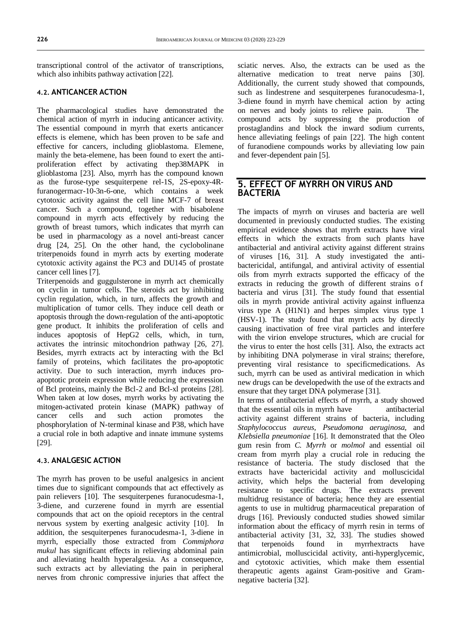transcriptional control of the activator of transcriptions, which also inhibits pathway activation [22].

#### **4.2. ANTICANCER ACTION**

The pharmacological studies have demonstrated the chemical action of myrrh in inducing anticancer activity. The essential compound in myrrh that exerts anticancer effects is elemene, which has been proven to be safe and effective for cancers, including glioblastoma. Elemene, mainly the beta-elemene, has been found to exert the antiproliferation effect by activating thep38MAPK in glioblastoma [23]. Also, myrrh has the compound known as the furose-type sesquiterpene rel-1S, 2S-epoxy-4Rfuranogermacr-10-3n-6-one, which contains a week cytotoxic activity against the cell line MCF-7 of breast cancer. Such a compound, together with bisabolene compound in myrrh acts effectively by reducing the growth of breast tumors, which indicates that myrrh can be used in pharmacology as a novel anti-breast cancer drug [24, 25]. On the other hand, the cyclobolinane triterpenoids found in myrrh acts by exerting moderate cytotoxic activity against the PC3 and DU145 of prostate cancer cell lines [7].

Triterpenoids and guggulsterone in myrrh act chemically on cyclin in tumor cells. The steroids act by inhibiting cyclin regulation, which, in turn, affects the growth and multiplication of tumor cells. They induce cell death or apoptosis through the down-regulation of the anti-apoptotic gene product. It inhibits the proliferation of cells and induces apoptosis of HepG2 cells, which, in turn, activates the intrinsic mitochondrion pathway [26, 27]. Besides, myrrh extracts act by interacting with the Bcl family of proteins, which facilitates the pro-apoptotic activity. Due to such interaction, myrrh induces proapoptotic protein expression while reducing the expression of Bcl proteins, mainly the Bcl-2 and Bcl-xl proteins [28]. When taken at low doses, myrrh works by activating the mitogen-activated protein kinase (MAPK) pathway of cancer cells and such action promotes the phosphorylation of N-terminal kinase and P38, which have a crucial role in both adaptive and innate immune systems [29].

#### **4.3. ANALGESIC ACTION**

The myrrh has proven to be useful analgesics in ancient times due to significant compounds that act effectively as pain relievers [10]. The sesquiterpenes furanocudesma-1, 3-diene, and curzerene found in myrrh are essential compounds that act on the opioid receptors in the central nervous system by exerting analgesic activity [10]. In addition, the sesquiterpenes furanocudesma-1, 3-diene in myrrh, especially those extracted from *Commiphora mukul* has significant effects in relieving abdominal pain and alleviating health hyperalgesia. As a consequence, such extracts act by alleviating the pain in peripheral nerves from chronic compressive injuries that affect the sciatic nerves. Also, the extracts can be used as the alternative medication to treat nerve pains [30]. Additionally, the current study showed that compounds, such as lindestrene and sesquiterpenes furanocudesma-1, 3-diene found in myrrh have chemical action by acting on nerves and body joints to relieve pain. The compound acts by suppressing the production of prostaglandins and block the inward sodium currents, hence alleviating feelings of pain [22]. The high content of furanodiene compounds works by alleviating low pain and fever-dependent pain [5].

### **5. EFFECT OF MYRRH ON VIRUS AND BACTERIA**

The impacts of myrrh on viruses and bacteria are well documented in previously conducted studies. The existing empirical evidence shows that myrrh extracts have viral effects in which the extracts from such plants have antibacterial and antiviral activity against different strains of viruses [16, 31]. A study investigated the antibactericidal, antifungal, and antiviral activity of essential oils from myrrh extracts supported the efficacy of the extracts in reducing the growth of different strains of bacteria and virus [31]. The study found that essential oils in myrrh provide antiviral activity against influenza virus type A (H1N1) and herpes simplex virus type 1 (HSV-1). The study found that myrrh acts by directly causing inactivation of free viral particles and interfere with the virion envelope structures, which are crucial for the virus to enter the host cells [31]. Also, the extracts act by inhibiting DNA polymerase in viral strains; therefore, preventing viral resistance to specificmedications. As such, myrrh can be used as antiviral medication in which new drugs can be developedwith the use of the extracts and ensure that they target DNA polymerase [31].

In terms of antibacterial effects of myrrh, a study showed that the essential oils in myrrh have antibacterial activity against different strains of bacteria, including *Staphylococcus aureus, Pseudomona aeruginosa,* and *Klebsiella pneumoniae* [16]. It demonstrated that the Oleo gum resin from *C. Myrrh* or *molmol* and essential oil cream from myrrh play a crucial role in reducing the resistance of bacteria. The study disclosed that the extracts have bactericidal activity and molluscicidal activity, which helps the bacterial from developing resistance to specific drugs. The extracts prevent multidrug resistance of bacteria; hence they are essential agents to use in multidrug pharmaceutical preparation of drugs [16]. Previously conducted studies showed similar information about the efficacy of myrrh resin in terms of antibacterial activity [31, 32, 33]. The studies showed that terpenoids found in myrrhextracts have antimicrobial, molluscicidal activity, anti-hyperglycemic, and cytotoxic activities, which make them essential therapeutic agents against Gram-positive and Gramnegative bacteria [32].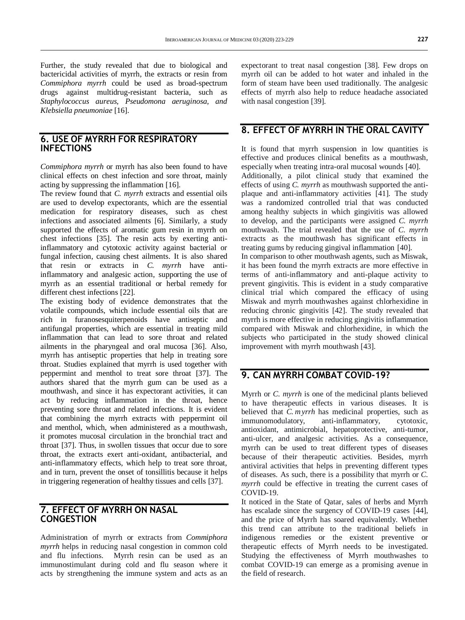Further, the study revealed that due to biological and bactericidal activities of myrrh, the extracts or resin from *Commiphora myrrh* could be used as broad-spectrum drugs against multidrug-resistant bacteria, such as *Staphylococcus aureus, Pseudomona aeruginosa, and Klebsiella pneumoniae* [16].

### **6. USE OF MYRRH FOR RESPIRATORY INFECTIONS**

*Commiphora myrrh* or myrrh has also been found to have clinical effects on chest infection and sore throat, mainly acting by suppressing the inflammation [16].

The review found that *C. myrrh* extracts and essential oils are used to develop expectorants, which are the essential medication for respiratory diseases, such as chest infections and associated ailments [6]. Similarly, a study supported the effects of aromatic gum resin in myrrh on chest infections [35]. The resin acts by exerting antiinflammatory and cytotoxic activity against bacterial or fungal infection, causing chest ailments. It is also shared that resin or extracts in *C. myrrh* have antiinflammatory and analgesic action, supporting the use of myrrh as an essential traditional or herbal remedy for different chest infections [22].

The existing body of evidence demonstrates that the volatile compounds, which include essential oils that are rich in furanosesquiterpenoids have antiseptic and antifungal properties, which are essential in treating mild inflammation that can lead to sore throat and related ailments in the pharyngeal and oral mucosa [36]. Also, myrrh has antiseptic properties that help in treating sore throat. Studies explained that myrrh is used together with peppermint and menthol to treat sore throat [37]. The authors shared that the myrrh gum can be used as a mouthwash, and since it has expectorant activities, it can act by reducing inflammation in the throat, hence preventing sore throat and related infections. It is evident that combining the myrrh extracts with peppermint oil and menthol, which, when administered as a mouthwash, it promotes mucosal circulation in the bronchial tract and throat [37]. Thus, in swollen tissues that occur due to sore throat, the extracts exert anti-oxidant, antibacterial, and anti-inflammatory effects, which help to treat sore throat, and in turn, prevent the onset of tonsillitis because it helps in triggering regeneration of healthy tissues and cells [37].

### **7. EFFECT OF MYRRH ON NASAL CONGESTION**

Administration of myrrh or extracts from *Commiphora myrrh* helps in reducing nasal congestion in common cold and flu infections. Myrrh resin can be used as an immunostimulant during cold and flu season where it acts by strengthening the immune system and acts as an

expectorant to treat nasal congestion [38]. Few drops on myrrh oil can be added to hot water and inhaled in the form of steam have been used traditionally. The analgesic effects of myrrh also help to reduce headache associated with nasal congestion [39].

### **8. EFFECT OF MYRRH IN THE ORAL CAVITY**

It is found that myrrh suspension in low quantities is effective and produces clinical benefits as a mouthwash, especially when treating intra-oral mucosal wounds [40]. Additionally, a pilot clinical study that examined the effects of using *C. myrrh* as mouthwash supported the antiplaque and anti-inflammatory activities [41]. The study was a randomized controlled trial that was conducted

among healthy subjects in which gingivitis was allowed to develop, and the participants were assigned *C. myrrh*  mouthwash. The trial revealed that the use of *C. myrrh* extracts as the mouthwash has significant effects in treating gums by reducing gingival inflammation [40]. In comparison to other mouthwash agents, such as Miswak, it has been found the myrrh extracts are more effective in terms of anti-inflammatory and anti-plaque activity to prevent gingivitis. This is evident in a study comparative clinical trial which compared the efficacy of using Miswak and myrrh mouthwashes against chlorhexidine in reducing chronic gingivitis [42]. The study revealed that myrrh is more effective in reducing gingivitis inflammation compared with Miswak and chlorhexidine, in which the subjects who participated in the study showed clinical improvement with myrrh mouthwash [43].

### **9. CAN MYRRH COMBAT COVID-19?**

Myrrh or *C. myrrh* is one of the medicinal plants believed to have therapeutic effects in various diseases. It is believed that *C. myrrh* has medicinal properties, such as immunomodulatory, anti-inflammatory, cytotoxic, antioxidant, antimicrobial, hepatoprotective, anti-tumor, anti-ulcer, and analgesic activities. As a consequence, myrrh can be used to treat different types of diseases because of their therapeutic activities. Besides, myrrh antiviral activities that helps in preventing different types of diseases. As such, there is a possibility that myrrh or *C. myrrh* could be effective in treating the current cases of COVID-19.

It noticed in the State of Qatar, sales of herbs and Myrrh has escalade since the surgency of COVID-19 cases [44], and the price of Myrrh has soared equivalently. Whether this trend can attribute to the traditional beliefs in indigenous remedies or the existent preventive or therapeutic effects of Myrrh needs to be investigated. Studying the effectiveness of Myrrh mouthwashes to combat COVID-19 can emerge as a promising avenue in the field of research.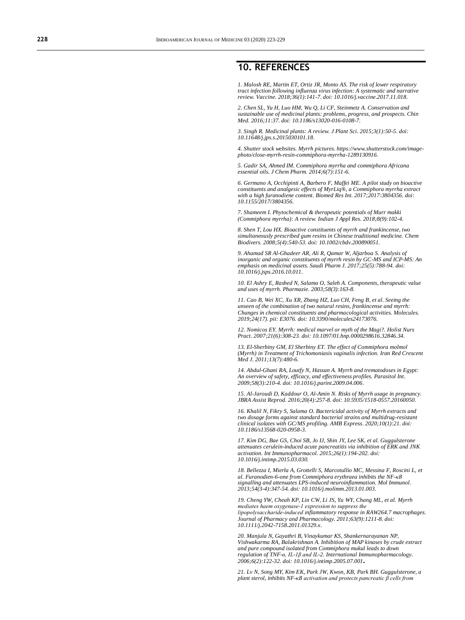### **10. REFERENCES**

*1. Malosh RE, Martin ET, Ortiz JR, Monto AS. The risk of lower respiratory tract infection following influenza virus infection: A systematic and narrative review. Vaccine. 2018;36(1):141-7. doi[: 10.1016/j.vaccine.2017.11.018.](https://doi.org/10.1016/j.vaccine.2017.11.018)*

*2. Chen SL, Yu H, Luo HM, Wu Q, Li CF, Steinmetz A. Conservation and sustainable use of medicinal plants: problems, progress, and prospects. Chin Med. 2016;11:37. doi[: 10.1186/s13020-016-0108-7](https://doi.org/10.1186/s13020-016-0108-7).*

*3. Singh R. Medicinal plants: A review. J Plant Sci. 2015;3(1):50-5. doi: [10.11648/j.jps.s.2015030101.18.](http://article.sciencepublishinggroup.com/html/10.11648.j.jps.s.2015030101.18.html)*

*4. Shutter stock websites. Myrrh pictures[. https://www.shutterstock.com/image](https://www.shutterstock.com/image-photo/close-myrrh-resin-commiphora-myrrha-1289130916)[photo/close-myrrh-resin-commiphora-myrrha-1289130916.](https://www.shutterstock.com/image-photo/close-myrrh-resin-commiphora-myrrha-1289130916)*

*5. Gadir SA, Ahmed IM. Commiphora myrrha and commiphora Africana essential oils. J Chem Pharm. 2014;6(7):151-6.*

*6. Germano A, Occhipinti A, Barbero F, Maffei ME. A pilot study on bioactive constituents and analgesic effects of MyrLiq®, a Commiphora myrrha extract with a high furanodiene content. Biomed Res Int. 2017;2017:3804356. doi: [10.1155/2017/3804356.](https://doi.org/10.1155/2017/3804356)*

*7. Shameem I. Phytochemical & therapeutic potentials of Murr makki (Commiphora myrrha): A review. Indian J Appl Res. 2018;8(9):102-4.*

*8. Shen T, Lou HX. Bioactive constituents of myrrh and frankincense, two simultaneously prescribed gum resins in Chinese traditional medicine. Chem Biodivers. 2008;5(4):540-53. doi[: 10.1002/cbdv.200890051.](https://doi.org/10.1002/cbdv.200890051)*

*9. Ahamad SR Al-Ghadeer AR, Ali R, Qamar W, Aljarboa S. Analysis of inorganic and organic constituents of myrrh resin by GC-MS and ICP-MS: An emphasis on medicinal assets. Saudi Pharm J. 2017;25(5):788-94. doi: [10.1016/j.jsps.2016.10.011.](https://doi.org/10.1016/j.jsps.2016.10.011)*

*10. El Ashry E, Rashed N, Salama O, Saleh A. Components, therapeutic value and uses of myrrh. Pharmazie. 2003;58(3):163-8.*

*11. Cao B, Wei XC, Xu XR, Zhang HZ, Luo CH, Feng B, et al. Seeing the unseen of the combination of two natural resins, frankincense and myrrh: Changes in chemical constituents and pharmacological activities. Molecules. 2019;24(17). pii: E3076. doi[: 10.3390/molecules24173076.](https://doi.org/10.3390/molecules24173076)*

*12. Nomicos EY. Myrrh: medical marvel or myth of the Magi?. Holist Nurs Pract. 2007;21(6):308-23. doi: [10.1097/01.hnp.0000298616.32846.34.](https://doi.org/10.1097/01.HNP.0000298616.32846.34)*

*13. El-Sherbiny GM, El Sherbiny ET. The effect of Commiphora molmol (Myrrh) in Treatment of Trichomoniasis vaginalis infection. Iran Red Crescent Med J. 2011;13(7):480-6.*

*14. Abdul-Ghani RA, Loutfy N, Hassan A. Myrrh and trematodoses in Egypt: An overview of safety, efficacy, and effectiveness profiles. Parasitol Int. 2009;58(3):210-4. doi[: 10.1016/j.parint.2009.04.006.](https://doi.org/10.1016/j.parint.2009.04.006)*

*15. Al-Jaroudi D, Kaddour O, Al-Amin N. Risks of Myrrh usage in pregnancy. JBRA Assist Reprod. 2016;20(4):257-8. doi[: 10.5935/1518-0557.20160050.](https://doi.org/10.5935/1518-0557.20160050)*

*16. Khalil N, Fikry S, Salama O. Bactericidal activity of Myrrh extracts and two dosage forms against standard bacterial strains and multidrug-resistant clinical isolates with GC/MS profiling. AMB Express. 2020;10(1):21. doi: [10.1186/s13568-020-0958-3.](https://doi.org/10.1186/s13568-020-0958-3)*

*17. Kim DG, Bae GS, Choi SB, Jo IJ, Shin JY, Lee SK, et al. Guggulsterone attenuates cerulein-induced acute pancreatitis via inhibition of ERK and JNK activation. Int Immunopharmacol. 2015;26(1):194-202. doi: [10.1016/j.intimp.2015.03.030.](https://doi.org/10.1016/j.intimp.2015.03.030)*

*18. Bellezza I, Mierla A, Grottelli S, Marcotullio MC, Messina F, Roscini L, et al. Furanodien-6-one from Commiphora erythraea inhibits the NF-κB signalling and attenuates LPS-induced neuroinflammation. Mol Immunol. 2013;54(3-4):347-54. doi[: 10.1016/j.molimm.2013.01.003.](https://doi.org/10.1016/j.molimm.2013.01.003)*

*19. Cheng YW, Cheah KP, Lin CW, Li JS, Yu WY, Chang ML, et al. Myrrh mediates haem oxygenase‐1 expression to suppress the lipopolysaccharide‐induced inflammatory response in RAW264.7 macrophages. Journal of Pharmacy and Pharmacology. 2011;63(9):1211-8. doi: [10.1111/j.2042-7158.2011.01329.x.](https://doi.org/10.1111/j.2042-7158.2011.01329.x)*

*20. Manjula N, Gayathri B, Vinaykumar KS, Shankernarayanan NP, Vishwakarma RA, Balakrishnan A. Inhibition of MAP kinases by crude extract and pure compound isolated from Commiphora mukul leads to down regulation of TNF-α, IL-1β and IL-2. International Immunopharmacology. 2006;6(2):122-32. doi[: 10.1016/j.intimp.2005.07.001](https://doi.org/10.1016/j.intimp.2005.07.001)***.**

*21. Lv N, Song MY, Kim EK, Park JW, Kwon, KB, Park BH. Guggulsterone, a plant sterol, inhibits NF-κB activation and protects pancreatic β cells from*